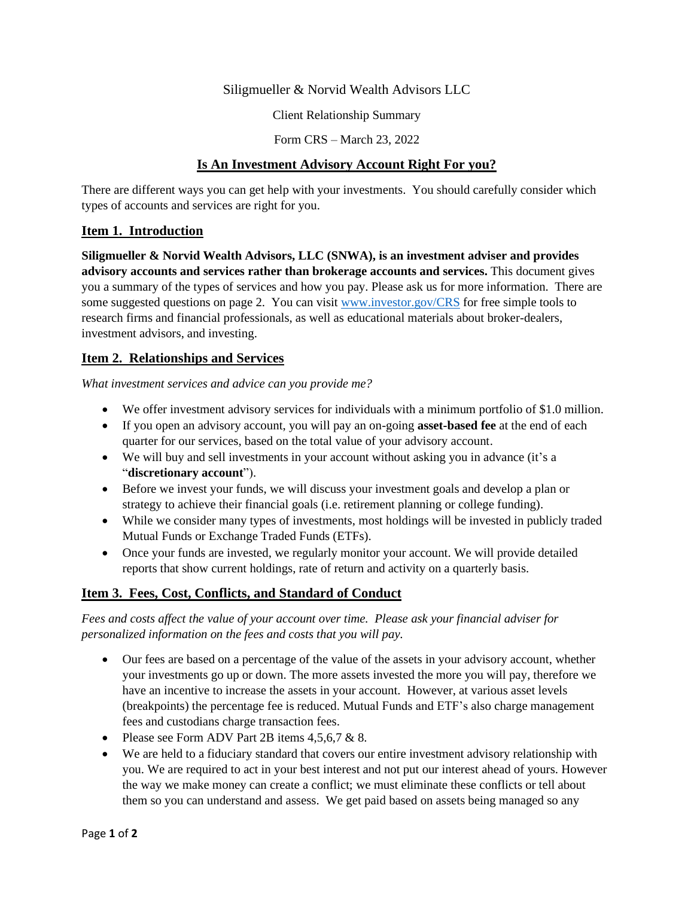### Siligmueller & Norvid Wealth Advisors LLC

Client Relationship Summary

Form CRS – March 23, 2022

### **Is An Investment Advisory Account Right For you?**

There are different ways you can get help with your investments. You should carefully consider which types of accounts and services are right for you.

### **Item 1. Introduction**

**Siligmueller & Norvid Wealth Advisors, LLC (SNWA), is an investment adviser and provides advisory accounts and services rather than brokerage accounts and services.** This document gives you a summary of the types of services and how you pay. Please ask us for more information. There are some suggested questions on page 2. You can visit [www.investor.gov/CRS](http://www.investor.gov/CRS) for free simple tools to research firms and financial professionals, as well as educational materials about broker-dealers, investment advisors, and investing.

## **Item 2. Relationships and Services**

*What investment services and advice can you provide me?*

- We offer investment advisory services for individuals with a minimum portfolio of \$1.0 million.
- If you open an advisory account, you will pay an on-going **asset-based fee** at the end of each quarter for our services, based on the total value of your advisory account.
- We will buy and sell investments in your account without asking you in advance (it's a "**discretionary account**").
- Before we invest your funds, we will discuss your investment goals and develop a plan or strategy to achieve their financial goals (i.e. retirement planning or college funding).
- While we consider many types of investments, most holdings will be invested in publicly traded Mutual Funds or Exchange Traded Funds (ETFs).
- Once your funds are invested, we regularly monitor your account. We will provide detailed reports that show current holdings, rate of return and activity on a quarterly basis.

# **Item 3. Fees, Cost, Conflicts, and Standard of Conduct**

*Fees and costs affect the value of your account over time. Please ask your financial adviser for personalized information on the fees and costs that you will pay.* 

- Our fees are based on a percentage of the value of the assets in your advisory account, whether your investments go up or down. The more assets invested the more you will pay, therefore we have an incentive to increase the assets in your account. However, at various asset levels (breakpoints) the percentage fee is reduced. Mutual Funds and ETF's also charge management fees and custodians charge transaction fees.
- Please see Form ADV Part 2B items  $4.5, 6.7 \& 8$ .
- We are held to a fiduciary standard that covers our entire investment advisory relationship with you. We are required to act in your best interest and not put our interest ahead of yours. However the way we make money can create a conflict; we must eliminate these conflicts or tell about them so you can understand and assess. We get paid based on assets being managed so any